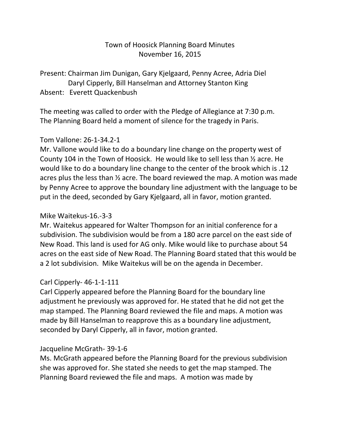# Town of Hoosick Planning Board Minutes November 16, 2015

Present: Chairman Jim Dunigan, Gary Kjelgaard, Penny Acree, Adria Diel Daryl Cipperly, Bill Hanselman and Attorney Stanton King Absent: Everett Quackenbush

The meeting was called to order with the Pledge of Allegiance at 7:30 p.m. The Planning Board held a moment of silence for the tragedy in Paris.

#### Tom Vallone: 26-1-34.2-1

Mr. Vallone would like to do a boundary line change on the property west of County 104 in the Town of Hoosick. He would like to sell less than ½ acre. He would like to do a boundary line change to the center of the brook which is .12 acres plus the less than ½ acre. The board reviewed the map. A motion was made by Penny Acree to approve the boundary line adjustment with the language to be put in the deed, seconded by Gary Kjelgaard, all in favor, motion granted.

#### Mike Waitekus-16.-3-3

Mr. Waitekus appeared for Walter Thompson for an initial conference for a subdivision. The subdivision would be from a 180 acre parcel on the east side of New Road. This land is used for AG only. Mike would like to purchase about 54 acres on the east side of New Road. The Planning Board stated that this would be a 2 lot subdivision. Mike Waitekus will be on the agenda in December.

# Carl Cipperly- 46-1-1-111

Carl Cipperly appeared before the Planning Board for the boundary line adjustment he previously was approved for. He stated that he did not get the map stamped. The Planning Board reviewed the file and maps. A motion was made by Bill Hanselman to reapprove this as a boundary line adjustment, seconded by Daryl Cipperly, all in favor, motion granted.

# Jacqueline McGrath- 39-1-6

Ms. McGrath appeared before the Planning Board for the previous subdivision she was approved for. She stated she needs to get the map stamped. The Planning Board reviewed the file and maps. A motion was made by